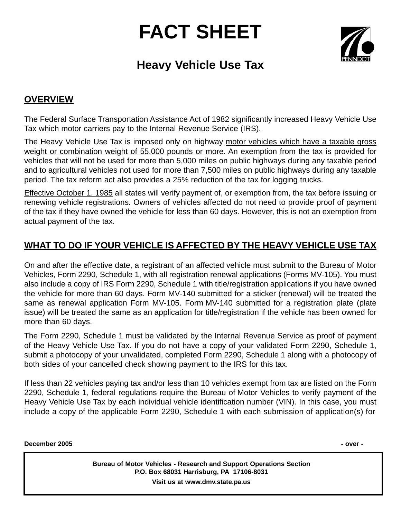## **FACT SHEET**



## **Heavy Vehicle Use Tax**

## **OVERVIEW**

The Federal Surface Transportation Assistance Act of 1982 significantly increased Heavy Vehicle Use Tax which motor carriers pay to the Internal Revenue Service (IRS).

The Heavy Vehicle Use Tax is imposed only on highway motor vehicles which have a taxable gross weight or combination weight of 55,000 pounds or more. An exemption from the tax is provided for vehicles that will not be used for more than 5,000 miles on public highways during any taxable period and to agricultural vehicles not used for more than 7,500 miles on public highways during any taxable period. The tax reform act also provides a 25% reduction of the tax for logging trucks.

Effective October 1, 1985 all states will verify payment of, or exemption from, the tax before issuing or renewing vehicle registrations. Owners of vehicles affected do not need to provide proof of payment of the tax if they have owned the vehicle for less than 60 days. However, this is not an exemption from actual payment of the tax.

## **WHAT TO DO IF YOUR VEHICLE IS AFFECTED BY THE HEAVY VEHICLE USE TAX**

On and after the effective date, a registrant of an affected vehicle must submit to the Bureau of Motor Vehicles, Form 2290, Schedule 1, with all registration renewal applications (Forms MV-105). You must also include a copy of IRS Form 2290, Schedule 1 with title/registration applications if you have owned the vehicle for more than 60 days. Form MV-140 submitted for a sticker (renewal) will be treated the same as renewal application Form MV-105. Form MV-140 submitted for a registration plate (plate issue) will be treated the same as an application for title/registration if the vehicle has been owned for more than 60 days.

The Form 2290, Schedule 1 must be validated by the Internal Revenue Service as proof of payment of the Heavy Vehicle Use Tax. If you do not have a copy of your validated Form 2290, Schedule 1, submit a photocopy of your unvalidated, completed Form 2290, Schedule 1 along with a photocopy of both sides of your cancelled check showing payment to the IRS for this tax.

If less than 22 vehicles paying tax and/or less than 10 vehicles exempt from tax are listed on the Form 2290, Schedule 1, federal regulations require the Bureau of Motor Vehicles to verify payment of the Heavy Vehicle Use Tax by each individual vehicle identification number (VIN). In this case, you must include a copy of the applicable Form 2290, Schedule 1 with each submission of application(s) for

**December 2005 - over -**

**Bureau of Motor Vehicles - Research and Support Operations Section P.O. Box 68031 Harrisburg, PA 17106-8031 Visit us at www.dmv.state.pa.us**